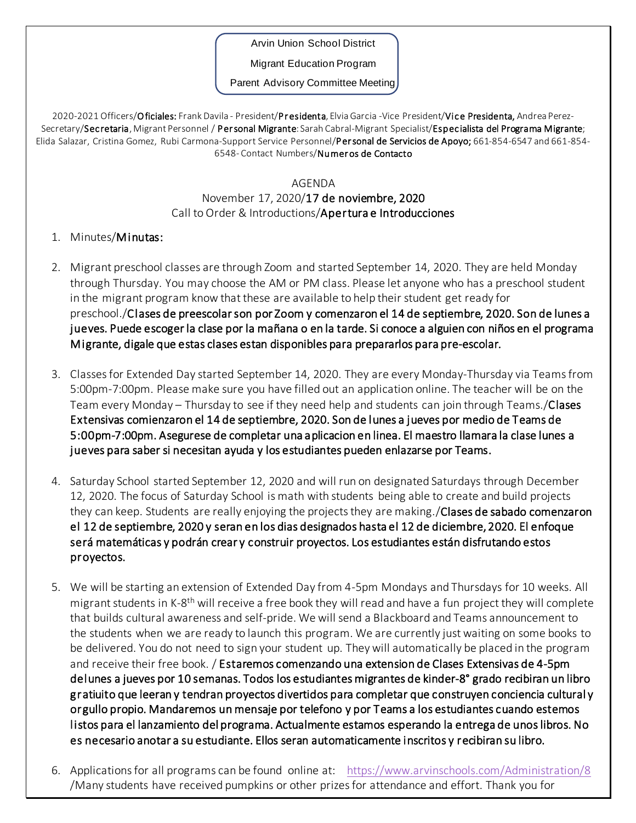Arvin Union School District

Migrant Education Program

Parent Advisory Committee Meeting

2020-2021 Officers/Oficiales: Frank Davila - President/Presidenta, Elvia Garcia -Vice President/Vice Presidenta, Andrea Perez-Secretary/Secretaria, Migrant Personnel / Personal Migrante: Sarah Cabral-Migrant Specialist/Especialista del Programa Migrante; Elida Salazar, Cristina Gomez, Rubi Carmona-Support Service Personnel/Personal de Servicios de Apoyo; 661-854-6547 and 661-854-6548- Contact Numbers/Numer os de Contacto

## AGENDA

## November 17, 2020/17 de noviembre, 2020 Call to Order & Introductions/Apertura e Introducciones

## 1. Minutes/Minutas:

- 2. Migrant preschool classes are through Zoom and started September 14, 2020. They are held Monday through Thursday. You may choose the AM or PM class. Please let anyone who has a preschool student in the migrant program know that these are available to help their student get ready for preschool./Clases de preescolar son por Zoom y comenzaron el 14 de septiembre, 2020. Son de lunes a jueves. Puede escoger la clase por la mañana o en la tarde. Si conoce a alguien con niños en el programa Migrante, digale que estas clases estan disponibles para prepararlos para pre-escolar.
- 3. Classes for Extended Day started September 14, 2020. They are every Monday-Thursday via Teams from 5:00pm-7:00pm. Please make sure you have filled out an application online. The teacher will be on the Team every Monday – Thursday to see if they need help and students can join through Teams./Clases Extensivas comienzaron el 14 de septiembre, 2020. Son de lunes a jueves por medio de Teams de 5:00pm-7:00pm. Asegurese de completar una aplicacion en linea. El maestro llamara la clase lunes a jueves para saber si necesitan ayuda y los estudiantes pueden enlazarse por Teams.
- 4. Saturday School started September 12, 2020 and will run on designated Saturdays through December 12, 2020. The focus of Saturday School is math with students being able to create and build projects they can keep. Students are really enjoying the projects they are making. **Clases de sabado comenzaron** el 12 de septiembre, 2020 y seran en los dias designados hasta el 12 de diciembre, 2020. El enfoque será matemáticas y podrán crear y construir proyectos. Los estudiantes están disfrutando estos proyectos.
- 5. We will be starting an extension of Extended Day from 4-5pm Mondays and Thursdays for 10 weeks. All migrant students in K-8<sup>th</sup> will receive a free book they will read and have a fun project they will complete that builds cultural awareness and self-pride. We will send a Blackboard and Teams announcement to the students when we are ready to launch this program. We are currently just waiting on some books to be delivered. You do not need to sign your student up. They will automatically be placed in the program and receive their free book. / Estaremos comenzando una extension de Clases Extensivas de 4-5pm delunes a jueves por 10 semanas. Todos los estudiantes migrantes de kinder-8° grado recibiran un libro gratiuito que leeran y tendran proyectos divertidos para completar que construyen conciencia cultural y orgullo propio. Mandaremos un mensaje por telefono y por Teams a los estudiantes cuando estemos listos para el lanzamiento del programa. Actualmente estamos esperando la entrega de unos libros. No es necesario anotar a su estudiante. Ellos seran automaticamente inscritos y recibiran su libro.
- 6. Applications for all programs can be found online at: <https://www.arvinschools.com/Administration/8> /Many students have received pumpkins or other prizes for attendance and effort. Thank you for